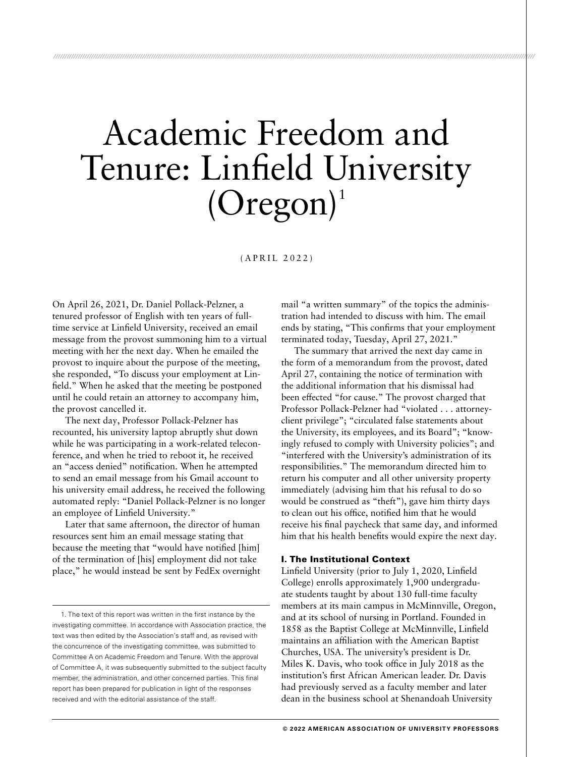# Academic Freedom and Tenure: Linfield University  $(O$ regon $)^1$

*/////////////////////////////////////////////////////////////////////////////////////////////////////////////////////////////////////////////////////////////////////////////////////////////////////////////////////////*

(APRIL 2022)

On April 26, 2021, Dr. Daniel Pollack-Pelzner, a tenured professor of English with ten years of fulltime service at Linfield University, received an email message from the provost summoning him to a virtual meeting with her the next day. When he emailed the provost to inquire about the purpose of the meeting, she responded, "To discuss your employment at Linfield." When he asked that the meeting be postponed until he could retain an attorney to accompany him, the provost cancelled it.

The next day, Professor Pollack-Pelzner has recounted, his university laptop abruptly shut down while he was participating in a work-related teleconference, and when he tried to reboot it, he received an "access denied" notification. When he attempted to send an email message from his Gmail account to his university email address, he received the following automated reply: "Daniel Pollack-Pelzner is no longer an employee of Linfield University."

Later that same afternoon, the director of human resources sent him an email message stating that because the meeting that "would have notified [him] of the termination of [his] employment did not take place," he would instead be sent by FedEx overnight mail "a written summary" of the topics the administration had intended to discuss with him. The email ends by stating, "This confirms that your employment terminated today, Tuesday, April 27, 2021."

The summary that arrived the next day came in the form of a memorandum from the provost, dated April 27, containing the notice of termination with the additional information that his dismissal had been effected "for cause." The provost charged that Professor Pollack-Pelzner had "violated . . . attorneyclient privilege"; "circulated false statements about the University, its employees, and its Board"; "knowingly refused to comply with University policies"; and "interfered with the University's administration of its responsibilities." The memorandum directed him to return his computer and all other university property immediately (advising him that his refusal to do so would be construed as "theft"), gave him thirty days to clean out his office, notified him that he would receive his final paycheck that same day, and informed him that his health benefits would expire the next day.

#### I. The Institutional Context

Linfield University (prior to July 1, 2020, Linfield College) enrolls approximately 1,900 undergraduate students taught by about 130 full-time faculty members at its main campus in McMinnville, Oregon, and at its school of nursing in Portland. Founded in 1858 as the Baptist College at McMinnville, Linfield maintains an affiliation with the American Baptist Churches, USA. The university's president is Dr. Miles K. Davis, who took office in July 2018 as the institution's first African American leader. Dr. Davis had previously served as a faculty member and later dean in the business school at Shenandoah University

<sup>1.</sup> The text of this report was written in the first instance by the investigating committee. In accordance with Association practice, the text was then edited by the Association's staff and, as revised with the concurrence of the investigating committee, was submitted to Committee A on Academic Freedom and Tenure. With the approval of Committee A, it was subsequently submitted to the subject faculty member, the administration, and other concerned parties. This final report has been prepared for publication in light of the responses received and with the editorial assistance of the staff.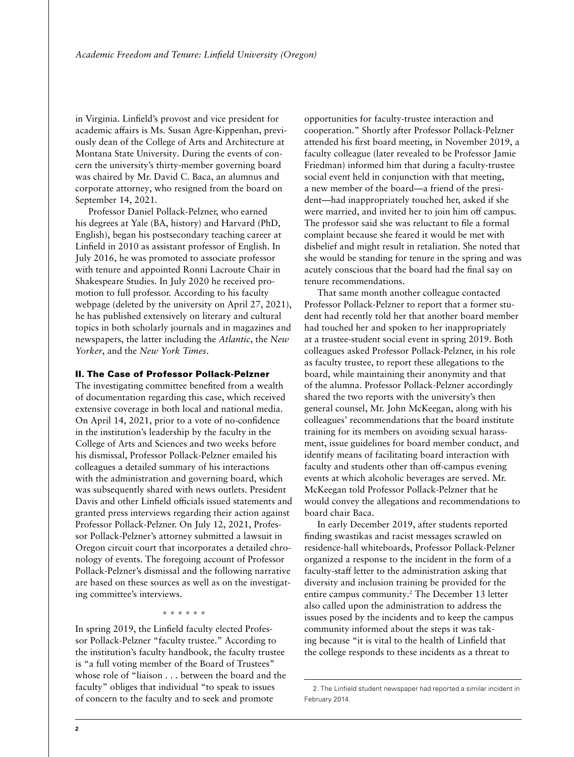in Virginia. Linfield's provost and vice president for academic affairs is Ms. Susan Agre-Kippenhan, previously dean of the College of Arts and Architecture at Montana State University. During the events of concern the university's thirty-member governing board was chaired by Mr. David C. Baca, an alumnus and corporate attorney, who resigned from the board on September 14, 2021.

Professor Daniel Pollack-Pelzner, who earned his degrees at Yale (BA, history) and Harvard (PhD, English), began his postsecondary teaching career at Linfield in 2010 as assistant professor of English. In July 2016, he was promoted to associate professor with tenure and appointed Ronni Lacroute Chair in Shakespeare Studies. In July 2020 he received promotion to full professor. According to his faculty webpage (deleted by the university on April 27, 2021), he has published extensively on literary and cultural topics in both scholarly journals and in magazines and newspapers, the latter including the *Atlantic*, the *New Yorker*, and the *New York Times*.

## II. The Case of Professor Pollack-Pelzner

The investigating committee benefited from a wealth of documentation regarding this case, which received extensive coverage in both local and national media. On April 14, 2021, prior to a vote of no-confidence in the institution's leadership by the faculty in the College of Arts and Sciences and two weeks before his dismissal, Professor Pollack-Pelzner emailed his colleagues a detailed summary of his interactions with the administration and governing board, which was subsequently shared with news outlets. President Davis and other Linfield officials issued statements and granted press interviews regarding their action against Professor Pollack-Pelzner. On July 12, 2021, Professor Pollack-Pelzner's attorney submitted a lawsuit in Oregon circuit court that incorporates a detailed chronology of events. The foregoing account of Professor Pollack-Pelzner's dismissal and the following narrative are based on these sources as well as on the investigating committee's interviews.

#### \* \* \* \* \* \*

In spring 2019, the Linfield faculty elected Professor Pollack-Pelzner "faculty trustee." According to the institution's faculty handbook, the faculty trustee is "a full voting member of the Board of Trustees" whose role of "liaison . . . between the board and the faculty" obliges that individual "to speak to issues of concern to the faculty and to seek and promote

opportunities for faculty-trustee interaction and cooperation." Shortly after Professor Pollack-Pelzner attended his first board meeting, in November 2019, a faculty colleague (later revealed to be Professor Jamie Friedman) informed him that during a faculty-trustee social event held in conjunction with that meeting, a new member of the board—a friend of the president—had inappropriately touched her, asked if she were married, and invited her to join him off campus. The professor said she was reluctant to file a formal complaint because she feared it would be met with disbelief and might result in retaliation. She noted that she would be standing for tenure in the spring and was acutely conscious that the board had the final say on tenure recommendations.

That same month another colleague contacted Professor Pollack-Pelzner to report that a former student had recently told her that another board member had touched her and spoken to her inappropriately at a trustee-student social event in spring 2019. Both colleagues asked Professor Pollack-Pelzner, in his role as faculty trustee, to report these allegations to the board, while maintaining their anonymity and that of the alumna. Professor Pollack-Pelzner accordingly shared the two reports with the university's then general counsel, Mr. John McKeegan, along with his colleagues' recommendations that the board institute training for its members on avoiding sexual harassment, issue guidelines for board member conduct, and identify means of facilitating board interaction with faculty and students other than off-campus evening events at which alcoholic beverages are served. Mr. McKeegan told Professor Pollack-Pelzner that he would convey the allegations and recommendations to board chair Baca.

In early December 2019, after students reported finding swastikas and racist messages scrawled on residence-hall whiteboards, Professor Pollack-Pelzner organized a response to the incident in the form of a faculty-staff letter to the administration asking that diversity and inclusion training be provided for the entire campus community.2 The December 13 letter also called upon the administration to address the issues posed by the incidents and to keep the campus community informed about the steps it was taking because "it is vital to the health of Linfield that the college responds to these incidents as a threat to

<sup>2.</sup> The Linfield student newspaper had reported a similar incident in February 2014.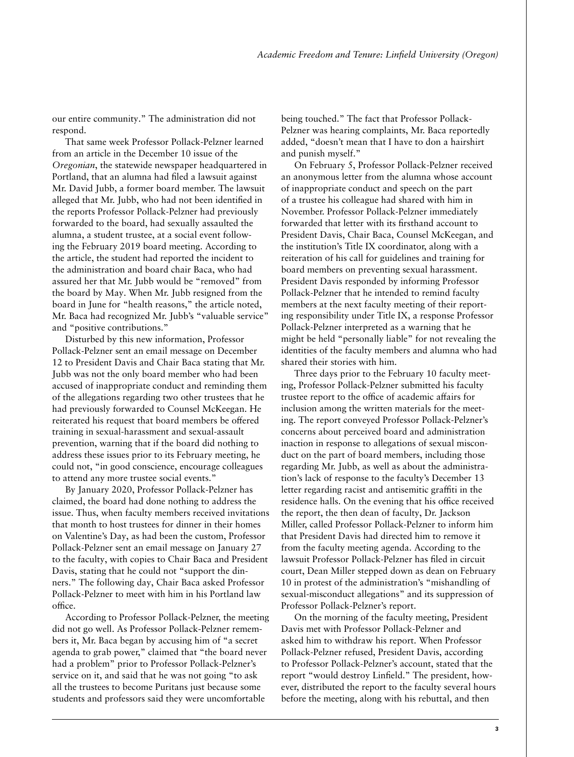our entire community." The administration did not respond.

That same week Professor Pollack-Pelzner learned from an article in the December 10 issue of the *Oregonian*, the statewide newspaper headquartered in Portland, that an alumna had filed a lawsuit against Mr. David Jubb, a former board member. The lawsuit alleged that Mr. Jubb, who had not been identified in the reports Professor Pollack-Pelzner had previously forwarded to the board, had sexually assaulted the alumna, a student trustee, at a social event following the February 2019 board meeting. According to the article, the student had reported the incident to the administration and board chair Baca, who had assured her that Mr. Jubb would be "removed" from the board by May. When Mr. Jubb resigned from the board in June for "health reasons," the article noted, Mr. Baca had recognized Mr. Jubb's "valuable service" and "positive contributions."

Disturbed by this new information, Professor Pollack-Pelzner sent an email message on December 12 to President Davis and Chair Baca stating that Mr. Jubb was not the only board member who had been accused of inappropriate conduct and reminding them of the allegations regarding two other trustees that he had previously forwarded to Counsel McKeegan. He reiterated his request that board members be offered training in sexual-harassment and sexual-assault prevention, warning that if the board did nothing to address these issues prior to its February meeting, he could not, "in good conscience, encourage colleagues to attend any more trustee social events."

By January 2020, Professor Pollack-Pelzner has claimed, the board had done nothing to address the issue. Thus, when faculty members received invitations that month to host trustees for dinner in their homes on Valentine's Day, as had been the custom, Professor Pollack-Pelzner sent an email message on January 27 to the faculty, with copies to Chair Baca and President Davis, stating that he could not "support the dinners." The following day, Chair Baca asked Professor Pollack-Pelzner to meet with him in his Portland law office.

According to Professor Pollack-Pelzner, the meeting did not go well. As Professor Pollack-Pelzner remembers it, Mr. Baca began by accusing him of "a secret agenda to grab power," claimed that "the board never had a problem" prior to Professor Pollack-Pelzner's service on it, and said that he was not going "to ask all the trustees to become Puritans just because some students and professors said they were uncomfortable

being touched." The fact that Professor Pollack-Pelzner was hearing complaints, Mr. Baca reportedly added, "doesn't mean that I have to don a hairshirt and punish myself."

On February 5, Professor Pollack-Pelzner received an anonymous letter from the alumna whose account of inappropriate conduct and speech on the part of a trustee his colleague had shared with him in November. Professor Pollack-Pelzner immediately forwarded that letter with its firsthand account to President Davis, Chair Baca, Counsel McKeegan, and the institution's Title IX coordinator, along with a reiteration of his call for guidelines and training for board members on preventing sexual harassment. President Davis responded by informing Professor Pollack-Pelzner that he intended to remind faculty members at the next faculty meeting of their reporting responsibility under Title IX, a response Professor Pollack-Pelzner interpreted as a warning that he might be held "personally liable" for not revealing the identities of the faculty members and alumna who had shared their stories with him.

Three days prior to the February 10 faculty meeting, Professor Pollack-Pelzner submitted his faculty trustee report to the office of academic affairs for inclusion among the written materials for the meeting. The report conveyed Professor Pollack-Pelzner's concerns about perceived board and administration inaction in response to allegations of sexual misconduct on the part of board members, including those regarding Mr. Jubb, as well as about the administration's lack of response to the faculty's December 13 letter regarding racist and antisemitic graffiti in the residence halls. On the evening that his office received the report, the then dean of faculty, Dr. Jackson Miller, called Professor Pollack-Pelzner to inform him that President Davis had directed him to remove it from the faculty meeting agenda. According to the lawsuit Professor Pollack-Pelzner has filed in circuit court, Dean Miller stepped down as dean on February 10 in protest of the administration's "mishandling of sexual-misconduct allegations" and its suppression of Professor Pollack-Pelzner's report.

On the morning of the faculty meeting, President Davis met with Professor Pollack-Pelzner and asked him to withdraw his report. When Professor Pollack-Pelzner refused, President Davis, according to Professor Pollack-Pelzner's account, stated that the report "would destroy Linfield." The president, however, distributed the report to the faculty several hours before the meeting, along with his rebuttal, and then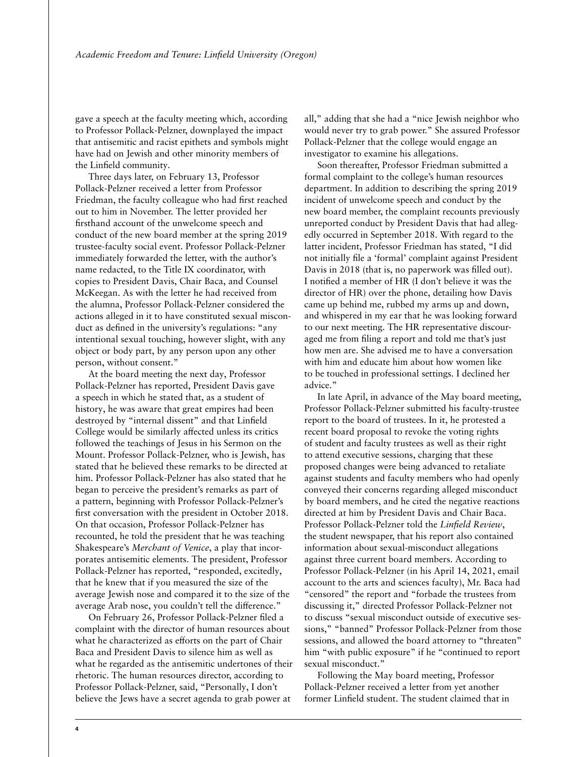gave a speech at the faculty meeting which, according to Professor Pollack-Pelzner, downplayed the impact that antisemitic and racist epithets and symbols might have had on Jewish and other minority members of the Linfield community.

Three days later, on February 13, Professor Pollack-Pelzner received a letter from Professor Friedman, the faculty colleague who had first reached out to him in November. The letter provided her firsthand account of the unwelcome speech and conduct of the new board member at the spring 2019 trustee-faculty social event. Professor Pollack-Pelzner immediately forwarded the letter, with the author's name redacted, to the Title IX coordinator, with copies to President Davis, Chair Baca, and Counsel McKeegan. As with the letter he had received from the alumna, Professor Pollack-Pelzner considered the actions alleged in it to have constituted sexual misconduct as defined in the university's regulations: "any intentional sexual touching, however slight, with any object or body part, by any person upon any other person, without consent."

At the board meeting the next day, Professor Pollack-Pelzner has reported, President Davis gave a speech in which he stated that, as a student of history, he was aware that great empires had been destroyed by "internal dissent" and that Linfield College would be similarly affected unless its critics followed the teachings of Jesus in his Sermon on the Mount. Professor Pollack-Pelzner, who is Jewish, has stated that he believed these remarks to be directed at him. Professor Pollack-Pelzner has also stated that he began to perceive the president's remarks as part of a pattern, beginning with Professor Pollack-Pelzner's first conversation with the president in October 2018. On that occasion, Professor Pollack-Pelzner has recounted, he told the president that he was teaching Shakespeare's *Merchant of Venice*, a play that incorporates antisemitic elements. The president, Professor Pollack-Pelzner has reported, "responded, excitedly, that he knew that if you measured the size of the average Jewish nose and compared it to the size of the average Arab nose, you couldn't tell the difference."

On February 26, Professor Pollack-Pelzner filed a complaint with the director of human resources about what he characterized as efforts on the part of Chair Baca and President Davis to silence him as well as what he regarded as the antisemitic undertones of their rhetoric. The human resources director, according to Professor Pollack-Pelzner, said, "Personally, I don't believe the Jews have a secret agenda to grab power at

all," adding that she had a "nice Jewish neighbor who would never try to grab power." She assured Professor Pollack-Pelzner that the college would engage an investigator to examine his allegations.

Soon thereafter, Professor Friedman submitted a formal complaint to the college's human resources department. In addition to describing the spring 2019 incident of unwelcome speech and conduct by the new board member, the complaint recounts previously unreported conduct by President Davis that had allegedly occurred in September 2018. With regard to the latter incident, Professor Friedman has stated, "I did not initially file a 'formal' complaint against President Davis in 2018 (that is, no paperwork was filled out). I notified a member of HR (I don't believe it was the director of HR) over the phone, detailing how Davis came up behind me, rubbed my arms up and down, and whispered in my ear that he was looking forward to our next meeting. The HR representative discouraged me from filing a report and told me that's just how men are. She advised me to have a conversation with him and educate him about how women like to be touched in professional settings. I declined her advice."

In late April, in advance of the May board meeting, Professor Pollack-Pelzner submitted his faculty-trustee report to the board of trustees. In it, he protested a recent board proposal to revoke the voting rights of student and faculty trustees as well as their right to attend executive sessions, charging that these proposed changes were being advanced to retaliate against students and faculty members who had openly conveyed their concerns regarding alleged misconduct by board members, and he cited the negative reactions directed at him by President Davis and Chair Baca. Professor Pollack-Pelzner told the *Linfield Review*, the student newspaper, that his report also contained information about sexual-misconduct allegations against three current board members. According to Professor Pollack-Pelzner (in his April 14, 2021, email account to the arts and sciences faculty), Mr. Baca had "censored" the report and "forbade the trustees from discussing it," directed Professor Pollack-Pelzner not to discuss "sexual misconduct outside of executive sessions," "banned" Professor Pollack-Pelzner from those sessions, and allowed the board attorney to "threaten" him "with public exposure" if he "continued to report sexual misconduct."

Following the May board meeting, Professor Pollack-Pelzner received a letter from yet another former Linfield student. The student claimed that in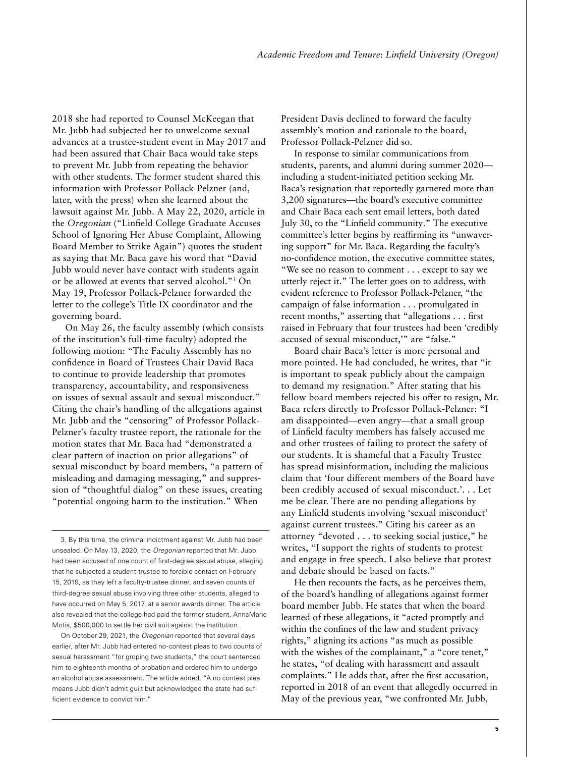2018 she had reported to Counsel McKeegan that Mr. Jubb had subjected her to unwelcome sexual advances at a trustee-student event in May 2017 and had been assured that Chair Baca would take steps to prevent Mr. Jubb from repeating the behavior with other students. The former student shared this information with Professor Pollack-Pelzner (and, later, with the press) when she learned about the lawsuit against Mr. Jubb. A May 22, 2020, article in the *Oregonian* ("Linfield College Graduate Accuses School of Ignoring Her Abuse Complaint, Allowing Board Member to Strike Again") quotes the student as saying that Mr. Baca gave his word that "David Jubb would never have contact with students again or be allowed at events that served alcohol."3 On May 19, Professor Pollack-Pelzner forwarded the letter to the college's Title IX coordinator and the governing board.

On May 26, the faculty assembly (which consists of the institution's full-time faculty) adopted the following motion: "The Faculty Assembly has no confidence in Board of Trustees Chair David Baca to continue to provide leadership that promotes transparency, accountability, and responsiveness on issues of sexual assault and sexual misconduct." Citing the chair's handling of the allegations against Mr. Jubb and the "censoring" of Professor Pollack-Pelzner's faculty trustee report, the rationale for the motion states that Mr. Baca had "demonstrated a clear pattern of inaction on prior allegations" of sexual misconduct by board members, "a pattern of misleading and damaging messaging," and suppression of "thoughtful dialog" on these issues, creating "potential ongoing harm to the institution." When

3. By this time, the criminal indictment against Mr. Jubb had been unsealed. On May 13, 2020, the *Oregonian* reported that Mr. Jubb had been accused of one count of first-degree sexual abuse, alleging that he subjected a student-trustee to forcible contact on February 15, 2019, as they left a faculty-trustee dinner, and seven counts of third-degree sexual abuse involving three other students, alleged to have occurred on May 5, 2017, at a senior awards dinner. The article also revealed that the college had paid the former student, AnnaMarie Motis, \$500,000 to settle her civil suit against the institution.

On October 29, 2021, the *Oregonian* reported that several days earlier, after Mr. Jubb had entered no-contest pleas to two counts of sexual harassment "for groping two students," the court sentenced him to eighteenth months of probation and ordered him to undergo an alcohol abuse assessment. The article added, "A no contest plea means Jubb didn't admit guilt but acknowledged the state had sufficient evidence to convict him."

President Davis declined to forward the faculty assembly's motion and rationale to the board, Professor Pollack-Pelzner did so.

In response to similar communications from students, parents, and alumni during summer 2020 including a student-initiated petition seeking Mr. Baca's resignation that reportedly garnered more than 3,200 signatures—the board's executive committee and Chair Baca each sent email letters, both dated July 30, to the "Linfield community." The executive committee's letter begins by reaffirming its "unwavering support" for Mr. Baca. Regarding the faculty's no-confidence motion, the executive committee states, "We see no reason to comment . . . except to say we utterly reject it." The letter goes on to address, with evident reference to Professor Pollack-Pelzner, "the campaign of false information . . . promulgated in recent months," asserting that "allegations . . . first raised in February that four trustees had been 'credibly accused of sexual misconduct,'" are "false."

Board chair Baca's letter is more personal and more pointed. He had concluded, he writes, that "it is important to speak publicly about the campaign to demand my resignation." After stating that his fellow board members rejected his offer to resign, Mr. Baca refers directly to Professor Pollack-Pelzner: "I am disappointed—even angry—that a small group of Linfield faculty members has falsely accused me and other trustees of failing to protect the safety of our students. It is shameful that a Faculty Trustee has spread misinformation, including the malicious claim that 'four different members of the Board have been credibly accused of sexual misconduct.'. . . Let me be clear. There are no pending allegations by any Linfield students involving 'sexual misconduct' against current trustees." Citing his career as an attorney "devoted . . . to seeking social justice," he writes, "I support the rights of students to protest and engage in free speech. I also believe that protest and debate should be based on facts."

He then recounts the facts, as he perceives them, of the board's handling of allegations against former board member Jubb. He states that when the board learned of these allegations, it "acted promptly and within the confines of the law and student privacy rights," aligning its actions "as much as possible with the wishes of the complainant," a "core tenet," he states, "of dealing with harassment and assault complaints." He adds that, after the first accusation, reported in 2018 of an event that allegedly occurred in May of the previous year, "we confronted Mr. Jubb,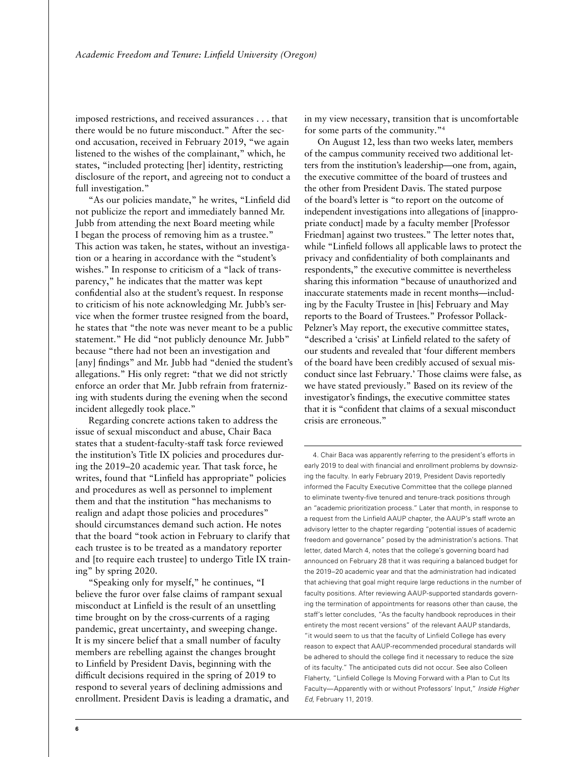imposed restrictions, and received assurances . . . that there would be no future misconduct." After the second accusation, received in February 2019, "we again listened to the wishes of the complainant," which, he states, "included protecting [her] identity, restricting disclosure of the report, and agreeing not to conduct a full investigation."

"As our policies mandate," he writes, "Linfield did not publicize the report and immediately banned Mr. Jubb from attending the next Board meeting while I began the process of removing him as a trustee." This action was taken, he states, without an investigation or a hearing in accordance with the "student's wishes." In response to criticism of a "lack of transparency," he indicates that the matter was kept confidential also at the student's request. In response to criticism of his note acknowledging Mr. Jubb's service when the former trustee resigned from the board, he states that "the note was never meant to be a public statement." He did "not publicly denounce Mr. Jubb" because "there had not been an investigation and [any] findings" and Mr. Jubb had "denied the student's allegations." His only regret: "that we did not strictly enforce an order that Mr. Jubb refrain from fraternizing with students during the evening when the second incident allegedly took place."

Regarding concrete actions taken to address the issue of sexual misconduct and abuse, Chair Baca states that a student-faculty-staff task force reviewed the institution's Title IX policies and procedures during the 2019–20 academic year. That task force, he writes, found that "Linfield has appropriate" policies and procedures as well as personnel to implement them and that the institution "has mechanisms to realign and adapt those policies and procedures" should circumstances demand such action. He notes that the board "took action in February to clarify that each trustee is to be treated as a mandatory reporter and [to require each trustee] to undergo Title IX training" by spring 2020.

"Speaking only for myself," he continues, "I believe the furor over false claims of rampant sexual misconduct at Linfield is the result of an unsettling time brought on by the cross-currents of a raging pandemic, great uncertainty, and sweeping change. It is my sincere belief that a small number of faculty members are rebelling against the changes brought to Linfield by President Davis, beginning with the difficult decisions required in the spring of 2019 to respond to several years of declining admissions and enrollment. President Davis is leading a dramatic, and in my view necessary, transition that is uncomfortable for some parts of the community."4

On August 12, less than two weeks later, members of the campus community received two additional letters from the institution's leadership—one from, again, the executive committee of the board of trustees and the other from President Davis. The stated purpose of the board's letter is "to report on the outcome of independent investigations into allegations of [inappropriate conduct] made by a faculty member [Professor Friedman] against two trustees." The letter notes that, while "Linfield follows all applicable laws to protect the privacy and confidentiality of both complainants and respondents," the executive committee is nevertheless sharing this information "because of unauthorized and inaccurate statements made in recent months—including by the Faculty Trustee in [his] February and May reports to the Board of Trustees." Professor Pollack-Pelzner's May report, the executive committee states, "described a 'crisis' at Linfield related to the safety of our students and revealed that 'four different members of the board have been credibly accused of sexual misconduct since last February.' Those claims were false, as we have stated previously." Based on its review of the investigator's findings, the executive committee states that it is "confident that claims of a sexual misconduct crisis are erroneous."

4. Chair Baca was apparently referring to the president's efforts in early 2019 to deal with financial and enrollment problems by downsizing the faculty. In early February 2019, President Davis reportedly informed the Faculty Executive Committee that the college planned to eliminate twenty-five tenured and tenure-track positions through an "academic prioritization process." Later that month, in response to a request from the Linfield AAUP chapter, the AAUP's staff wrote an advisory letter to the chapter regarding "potential issues of academic freedom and governance" posed by the administration's actions. That letter, dated March 4, notes that the college's governing board had announced on February 28 that it was requiring a balanced budget for the 2019–20 academic year and that the administration had indicated that achieving that goal might require large reductions in the number of faculty positions. After reviewing AAUP-supported standards governing the termination of appointments for reasons other than cause, the staff's letter concludes, "As the faculty handbook reproduces in their entirety the most recent versions" of the relevant AAUP standards, "it would seem to us that the faculty of Linfield College has every reason to expect that AAUP-recommended procedural standards will be adhered to should the college find it necessary to reduce the size of its faculty." The anticipated cuts did not occur. See also Colleen Flaherty, "Linfield College Is Moving Forward with a Plan to Cut Its Faculty—Apparently with or without Professors' Input," *Inside Higher Ed*, February 11, 2019.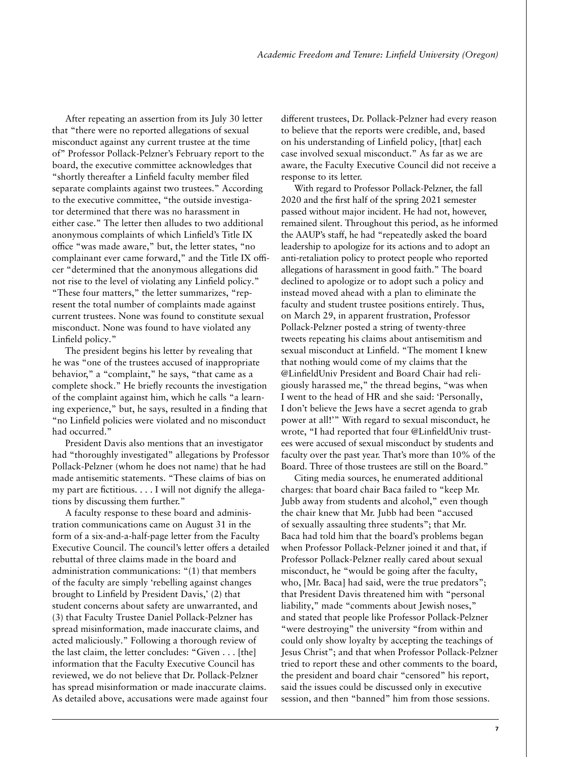After repeating an assertion from its July 30 letter that "there were no reported allegations of sexual misconduct against any current trustee at the time of" Professor Pollack-Pelzner's February report to the board, the executive committee acknowledges that "shortly thereafter a Linfield faculty member filed separate complaints against two trustees." According to the executive committee, "the outside investigator determined that there was no harassment in either case." The letter then alludes to two additional anonymous complaints of which Linfield's Title IX office "was made aware," but, the letter states, "no complainant ever came forward," and the Title IX officer "determined that the anonymous allegations did not rise to the level of violating any Linfield policy." "These four matters," the letter summarizes, "represent the total number of complaints made against current trustees. None was found to constitute sexual misconduct. None was found to have violated any Linfield policy."

The president begins his letter by revealing that he was "one of the trustees accused of inappropriate behavior," a "complaint," he says, "that came as a complete shock." He briefly recounts the investigation of the complaint against him, which he calls "a learning experience," but, he says, resulted in a finding that "no Linfield policies were violated and no misconduct had occurred."

President Davis also mentions that an investigator had "thoroughly investigated" allegations by Professor Pollack-Pelzner (whom he does not name) that he had made antisemitic statements. "These claims of bias on my part are fictitious. . . . I will not dignify the allegations by discussing them further."

A faculty response to these board and administration communications came on August 31 in the form of a six-and-a-half-page letter from the Faculty Executive Council. The council's letter offers a detailed rebuttal of three claims made in the board and administration communications: "(1) that members of the faculty are simply 'rebelling against changes brought to Linfield by President Davis,' (2) that student concerns about safety are unwarranted, and (3) that Faculty Trustee Daniel Pollack-Pelzner has spread misinformation, made inaccurate claims, and acted maliciously." Following a thorough review of the last claim, the letter concludes: "Given . . . [the] information that the Faculty Executive Council has reviewed, we do not believe that Dr. Pollack-Pelzner has spread misinformation or made inaccurate claims. As detailed above, accusations were made against four

different trustees, Dr. Pollack-Pelzner had every reason to believe that the reports were credible, and, based on his understanding of Linfield policy, [that] each case involved sexual misconduct." As far as we are aware, the Faculty Executive Council did not receive a response to its letter.

With regard to Professor Pollack-Pelzner, the fall 2020 and the first half of the spring 2021 semester passed without major incident. He had not, however, remained silent. Throughout this period, as he informed the AAUP's staff, he had "repeatedly asked the board leadership to apologize for its actions and to adopt an anti-retaliation policy to protect people who reported allegations of harassment in good faith." The board declined to apologize or to adopt such a policy and instead moved ahead with a plan to eliminate the faculty and student trustee positions entirely. Thus, on March 29, in apparent frustration, Professor Pollack-Pelzner posted a string of twenty-three tweets repeating his claims about antisemitism and sexual misconduct at Linfield. "The moment I knew that nothing would come of my claims that the @LinfieldUniv President and Board Chair had religiously harassed me," the thread begins, "was when I went to the head of HR and she said: 'Personally, I don't believe the Jews have a secret agenda to grab power at all!'" With regard to sexual misconduct, he wrote, "I had reported that four @LinfieldUniv trustees were accused of sexual misconduct by students and faculty over the past year. That's more than 10% of the Board. Three of those trustees are still on the Board."

Citing media sources, he enumerated additional charges: that board chair Baca failed to "keep Mr. Jubb away from students and alcohol," even though the chair knew that Mr. Jubb had been "accused of sexually assaulting three students"; that Mr. Baca had told him that the board's problems began when Professor Pollack-Pelzner joined it and that, if Professor Pollack-Pelzner really cared about sexual misconduct, he "would be going after the faculty, who, [Mr. Baca] had said, were the true predators"; that President Davis threatened him with "personal liability," made "comments about Jewish noses," and stated that people like Professor Pollack-Pelzner "were destroying" the university "from within and could only show loyalty by accepting the teachings of Jesus Christ"; and that when Professor Pollack-Pelzner tried to report these and other comments to the board, the president and board chair "censored" his report, said the issues could be discussed only in executive session, and then "banned" him from those sessions.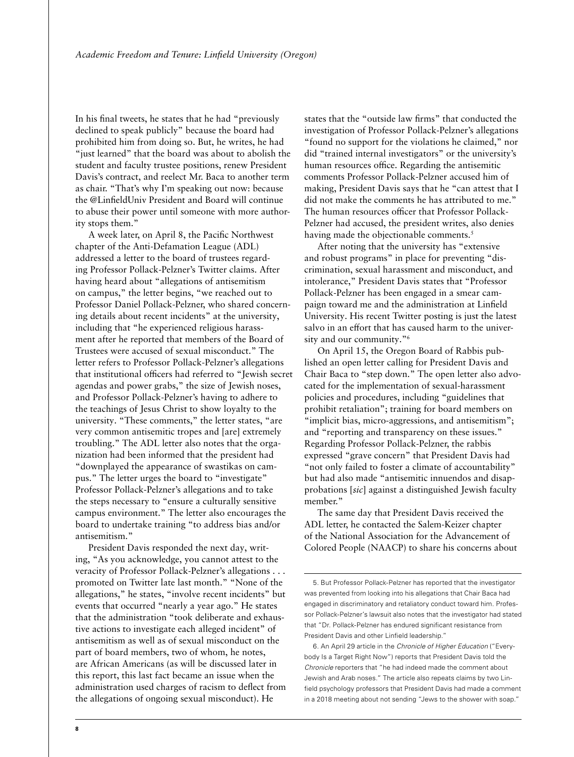In his final tweets, he states that he had "previously declined to speak publicly" because the board had prohibited him from doing so. But, he writes, he had "just learned" that the board was about to abolish the student and faculty trustee positions, renew President Davis's contract, and reelect Mr. Baca to another term as chair. "That's why I'm speaking out now: because the @LinfieldUniv President and Board will continue to abuse their power until someone with more authority stops them."

A week later, on April 8, the Pacific Northwest chapter of the Anti-Defamation League (ADL) addressed a letter to the board of trustees regarding Professor Pollack-Pelzner's Twitter claims. After having heard about "allegations of antisemitism on campus," the letter begins, "we reached out to Professor Daniel Pollack-Pelzner, who shared concerning details about recent incidents" at the university, including that "he experienced religious harassment after he reported that members of the Board of Trustees were accused of sexual misconduct." The letter refers to Professor Pollack-Pelzner's allegations that institutional officers had referred to "Jewish secret agendas and power grabs," the size of Jewish noses, and Professor Pollack-Pelzner's having to adhere to the teachings of Jesus Christ to show loyalty to the university. "These comments," the letter states, "are very common antisemitic tropes and [are] extremely troubling." The ADL letter also notes that the organization had been informed that the president had "downplayed the appearance of swastikas on campus." The letter urges the board to "investigate" Professor Pollack-Pelzner's allegations and to take the steps necessary to "ensure a culturally sensitive campus environment." The letter also encourages the board to undertake training "to address bias and/or antisemitism."

President Davis responded the next day, writing, "As you acknowledge, you cannot attest to the veracity of Professor Pollack-Pelzner's allegations . . . promoted on Twitter late last month." "None of the allegations," he states, "involve recent incidents" but events that occurred "nearly a year ago." He states that the administration "took deliberate and exhaustive actions to investigate each alleged incident" of antisemitism as well as of sexual misconduct on the part of board members, two of whom, he notes, are African Americans (as will be discussed later in this report, this last fact became an issue when the administration used charges of racism to deflect from the allegations of ongoing sexual misconduct). He

states that the "outside law firms" that conducted the investigation of Professor Pollack-Pelzner's allegations "found no support for the violations he claimed," nor did "trained internal investigators" or the university's human resources office. Regarding the antisemitic comments Professor Pollack-Pelzner accused him of making, President Davis says that he "can attest that I did not make the comments he has attributed to me." The human resources officer that Professor Pollack-Pelzner had accused, the president writes, also denies having made the objectionable comments.<sup>5</sup>

After noting that the university has "extensive and robust programs" in place for preventing "discrimination, sexual harassment and misconduct, and intolerance," President Davis states that "Professor Pollack-Pelzner has been engaged in a smear campaign toward me and the administration at Linfield University. His recent Twitter posting is just the latest salvo in an effort that has caused harm to the university and our community."6

On April 15, the Oregon Board of Rabbis published an open letter calling for President Davis and Chair Baca to "step down." The open letter also advocated for the implementation of sexual-harassment policies and procedures, including "guidelines that prohibit retaliation"; training for board members on "implicit bias, micro-aggressions, and antisemitism"; and "reporting and transparency on these issues." Regarding Professor Pollack-Pelzner, the rabbis expressed "grave concern" that President Davis had "not only failed to foster a climate of accountability" but had also made "antisemitic innuendos and disapprobations [*sic*] against a distinguished Jewish faculty member."

The same day that President Davis received the ADL letter, he contacted the Salem-Keizer chapter of the National Association for the Advancement of Colored People (NAACP) to share his concerns about

6. An April 29 article in the *Chronicle of Higher Education* ("Everybody Is a Target Right Now") reports that President Davis told the *Chronicle* reporters that "he had indeed made the comment about Jewish and Arab noses." The article also repeats claims by two Linfield psychology professors that President Davis had made a comment in a 2018 meeting about not sending "Jews to the shower with soap."

<sup>5.</sup> But Professor Pollack-Pelzner has reported that the investigator was prevented from looking into his allegations that Chair Baca had engaged in discriminatory and retaliatory conduct toward him. Professor Pollack-Pelzner's lawsuit also notes that the investigator had stated that "Dr. Pollack-Pelzner has endured significant resistance from President Davis and other Linfield leadership."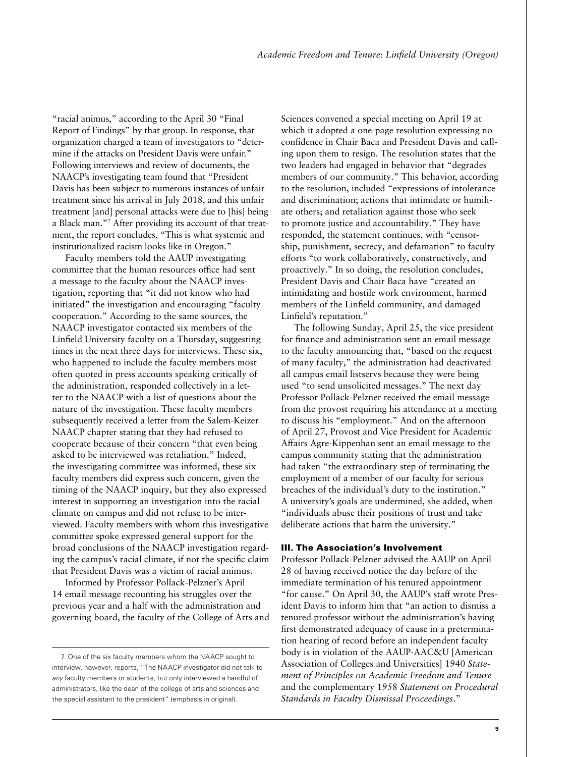"racial animus," according to the April 30 "Final Report of Findings" by that group. In response, that organization charged a team of investigators to "determine if the attacks on President Davis were unfair." Following interviews and review of documents, the NAACP's investigating team found that "President Davis has been subject to numerous instances of unfair treatment since his arrival in July 2018, and this unfair treatment [and] personal attacks were due to [his] being a Black man."7 After providing its account of that treatment, the report concludes, "This is what systemic and institutionalized racism looks like in Oregon."

Faculty members told the AAUP investigating committee that the human resources office had sent a message to the faculty about the NAACP investigation, reporting that "it did not know who had initiated" the investigation and encouraging "faculty cooperation." According to the same sources, the NAACP investigator contacted six members of the Linfield University faculty on a Thursday, suggesting times in the next three days for interviews. These six, who happened to include the faculty members most often quoted in press accounts speaking critically of the administration, responded collectively in a letter to the NAACP with a list of questions about the nature of the investigation. These faculty members subsequently received a letter from the Salem-Keizer NAACP chapter stating that they had refused to cooperate because of their concern "that even being asked to be interviewed was retaliation." Indeed, the investigating committee was informed, these six faculty members did express such concern, given the timing of the NAACP inquiry, but they also expressed interest in supporting an investigation into the racial climate on campus and did not refuse to be interviewed. Faculty members with whom this investigative committee spoke expressed general support for the broad conclusions of the NAACP investigation regarding the campus's racial climate, if not the specific claim that President Davis was a victim of racial animus.

Informed by Professor Pollack-Pelzner's April 14 email message recounting his struggles over the previous year and a half with the administration and governing board, the faculty of the College of Arts and Sciences convened a special meeting on April 19 at which it adopted a one-page resolution expressing no confidence in Chair Baca and President Davis and calling upon them to resign. The resolution states that the two leaders had engaged in behavior that "degrades members of our community." This behavior, according to the resolution, included "expressions of intolerance and discrimination; actions that intimidate or humiliate others; and retaliation against those who seek to promote justice and accountability." They have responded, the statement continues, with "censorship, punishment, secrecy, and defamation" to faculty efforts "to work collaboratively, constructively, and proactively." In so doing, the resolution concludes, President Davis and Chair Baca have "created an intimidating and hostile work environment, harmed members of the Linfield community, and damaged Linfield's reputation."

The following Sunday, April 25, the vice president for finance and administration sent an email message to the faculty announcing that, "based on the request of many faculty," the administration had deactivated all campus email listservs because they were being used "to send unsolicited messages." The next day Professor Pollack-Pelzner received the email message from the provost requiring his attendance at a meeting to discuss his "employment." And on the afternoon of April 27, Provost and Vice President for Academic Affairs Agre-Kippenhan sent an email message to the campus community stating that the administration had taken "the extraordinary step of terminating the employment of a member of our faculty for serious breaches of the individual's duty to the institution." A university's goals are undermined, she added, when "individuals abuse their positions of trust and take deliberate actions that harm the university."

## III. The Association's Involvement

Professor Pollack-Pelzner advised the AAUP on April 28 of having received notice the day before of the immediate termination of his tenured appointment "for cause." On April 30, the AAUP's staff wrote President Davis to inform him that "an action to dismiss a tenured professor without the administration's having first demonstrated adequacy of cause in a pretermination hearing of record before an independent faculty body is in violation of the AAUP-AAC&U [American Association of Colleges and Universities] 1940 *Statement of Principles on Academic Freedom and Tenure* and the complementary 1958 *Statement on Procedural Standards in Faculty Dismissal Proceedings*."

<sup>7.</sup> One of the six faculty members whom the NAACP sought to interview, however, reports, "The NAACP investigator did not talk to *any* faculty members or students, but only interviewed a handful of administrators, like the dean of the college of arts and sciences and the special assistant to the president" (emphasis in original).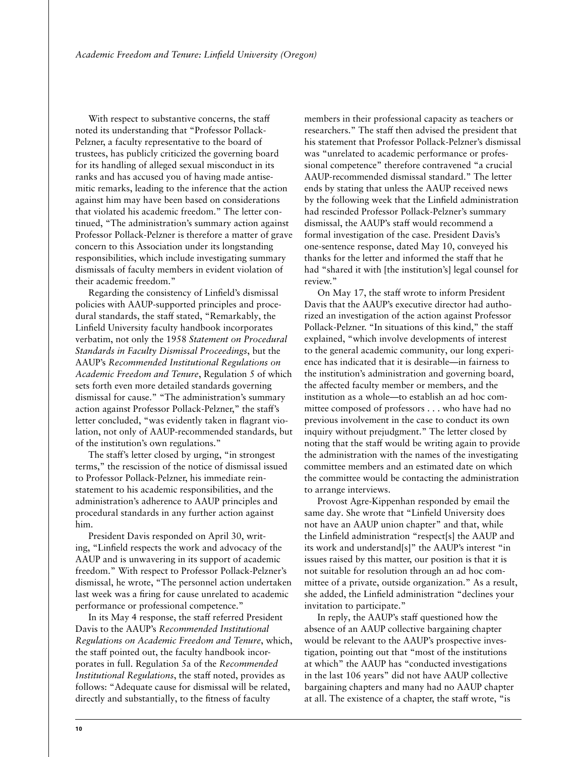With respect to substantive concerns, the staff noted its understanding that "Professor Pollack-Pelzner, a faculty representative to the board of trustees, has publicly criticized the governing board for its handling of alleged sexual misconduct in its ranks and has accused you of having made antisemitic remarks, leading to the inference that the action against him may have been based on considerations that violated his academic freedom." The letter continued, "The administration's summary action against Professor Pollack-Pelzner is therefore a matter of grave concern to this Association under its longstanding responsibilities, which include investigating summary dismissals of faculty members in evident violation of their academic freedom."

Regarding the consistency of Linfield's dismissal policies with AAUP-supported principles and procedural standards, the staff stated, "Remarkably, the Linfield University faculty handbook incorporates verbatim, not only the 1958 *Statement on Procedural Standards in Faculty Dismissal Proceedings*, but the AAUP's *Recommended Institutional Regulations on Academic Freedom and Tenure*, Regulation 5 of which sets forth even more detailed standards governing dismissal for cause." "The administration's summary action against Professor Pollack-Pelzner," the staff's letter concluded, "was evidently taken in flagrant violation, not only of AAUP-recommended standards, but of the institution's own regulations."

The staff's letter closed by urging, "in strongest terms," the rescission of the notice of dismissal issued to Professor Pollack-Pelzner, his immediate reinstatement to his academic responsibilities, and the administration's adherence to AAUP principles and procedural standards in any further action against him.

President Davis responded on April 30, writing, "Linfield respects the work and advocacy of the AAUP and is unwavering in its support of academic freedom." With respect to Professor Pollack-Pelzner's dismissal, he wrote, "The personnel action undertaken last week was a firing for cause unrelated to academic performance or professional competence."

In its May 4 response, the staff referred President Davis to the AAUP's *Recommended Institutional Regulations on Academic Freedom and Tenure*, which, the staff pointed out, the faculty handbook incorporates in full. Regulation 5a of the *Recommended Institutional Regulations*, the staff noted, provides as follows: "Adequate cause for dismissal will be related, directly and substantially, to the fitness of faculty

members in their professional capacity as teachers or researchers." The staff then advised the president that his statement that Professor Pollack-Pelzner's dismissal was "unrelated to academic performance or professional competence" therefore contravened "a crucial AAUP-recommended dismissal standard." The letter ends by stating that unless the AAUP received news by the following week that the Linfield administration had rescinded Professor Pollack-Pelzner's summary dismissal, the AAUP's staff would recommend a formal investigation of the case. President Davis's one-sentence response, dated May 10, conveyed his thanks for the letter and informed the staff that he had "shared it with [the institution's] legal counsel for review."

On May 17, the staff wrote to inform President Davis that the AAUP's executive director had authorized an investigation of the action against Professor Pollack-Pelzner. "In situations of this kind," the staff explained, "which involve developments of interest to the general academic community, our long experience has indicated that it is desirable—in fairness to the institution's administration and governing board, the affected faculty member or members, and the institution as a whole—to establish an ad hoc committee composed of professors . . . who have had no previous involvement in the case to conduct its own inquiry without prejudgment." The letter closed by noting that the staff would be writing again to provide the administration with the names of the investigating committee members and an estimated date on which the committee would be contacting the administration to arrange interviews.

Provost Agre-Kippenhan responded by email the same day. She wrote that "Linfield University does not have an AAUP union chapter" and that, while the Linfield administration "respect[s] the AAUP and its work and understand[s]" the AAUP's interest "in issues raised by this matter, our position is that it is not suitable for resolution through an ad hoc committee of a private, outside organization." As a result, she added, the Linfield administration "declines your invitation to participate."

In reply, the AAUP's staff questioned how the absence of an AAUP collective bargaining chapter would be relevant to the AAUP's prospective investigation, pointing out that "most of the institutions at which" the AAUP has "conducted investigations in the last 106 years" did not have AAUP collective bargaining chapters and many had no AAUP chapter at all. The existence of a chapter, the staff wrote, "is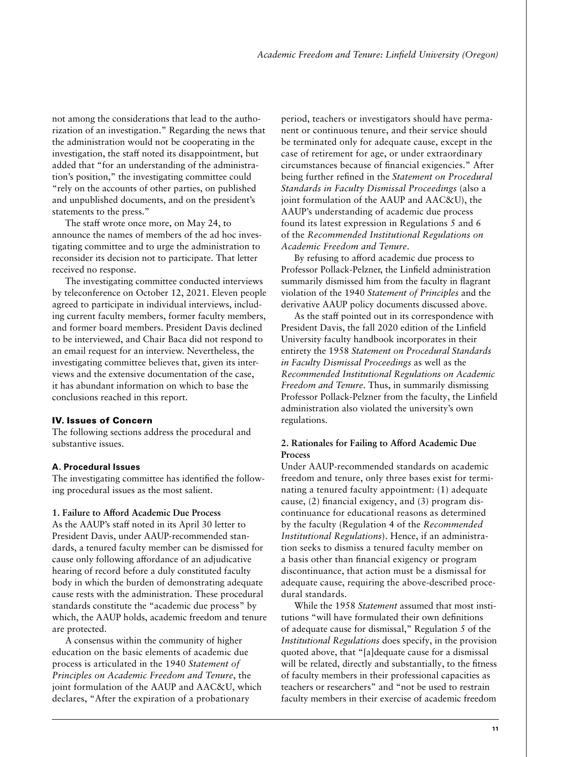not among the considerations that lead to the authorization of an investigation." Regarding the news that the administration would not be cooperating in the investigation, the staff noted its disappointment, but added that "for an understanding of the administration's position," the investigating committee could "rely on the accounts of other parties, on published and unpublished documents, and on the president's statements to the press."

The staff wrote once more, on May 24, to announce the names of members of the ad hoc investigating committee and to urge the administration to reconsider its decision not to participate. That letter received no response.

The investigating committee conducted interviews by teleconference on October 12, 2021. Eleven people agreed to participate in individual interviews, including current faculty members, former faculty members, and former board members. President Davis declined to be interviewed, and Chair Baca did not respond to an email request for an interview. Nevertheless, the investigating committee believes that, given its interviews and the extensive documentation of the case, it has abundant information on which to base the conclusions reached in this report.

### IV. Issues of Concern

The following sections address the procedural and substantive issues.

#### **A. Procedural Issues**

The investigating committee has identified the following procedural issues as the most salient.

## **1. Failure to Afford Academic Due Process**

As the AAUP's staff noted in its April 30 letter to President Davis, under AAUP-recommended standards, a tenured faculty member can be dismissed for cause only following affordance of an adjudicative hearing of record before a duly constituted faculty body in which the burden of demonstrating adequate cause rests with the administration. These procedural standards constitute the "academic due process" by which, the AAUP holds, academic freedom and tenure are protected.

A consensus within the community of higher education on the basic elements of academic due process is articulated in the 1940 *Statement of Principles on Academic Freedom and Tenure*, the joint formulation of the AAUP and AAC&U, which declares, "After the expiration of a probationary

period, teachers or investigators should have permanent or continuous tenure, and their service should be terminated only for adequate cause, except in the case of retirement for age, or under extraordinary circumstances because of financial exigencies." After being further refined in the *Statement on Procedural Standards in Faculty Dismissal Proceedings* (also a joint formulation of the AAUP and AAC&U), the AAUP's understanding of academic due process found its latest expression in Regulations 5 and 6 of the *Recommended Institutional Regulations on Academic Freedom and Tenure*.

By refusing to afford academic due process to Professor Pollack-Pelzner, the Linfield administration summarily dismissed him from the faculty in flagrant violation of the 1940 *Statement of Principles* and the derivative AAUP policy documents discussed above.

As the staff pointed out in its correspondence with President Davis, the fall 2020 edition of the Linfield University faculty handbook incorporates in their entirety the 1958 *Statement on Procedural Standards in Faculty Dismissal Proceedings* as well as the *Recommended Institutional Regulations on Academic Freedom and Tenure*. Thus, in summarily dismissing Professor Pollack-Pelzner from the faculty, the Linfield administration also violated the university's own regulations.

## **2. Rationales for Failing to Afford Academic Due Process**

Under AAUP-recommended standards on academic freedom and tenure, only three bases exist for terminating a tenured faculty appointment: (1) adequate cause, (2) financial exigency, and (3) program discontinuance for educational reasons as determined by the faculty (Regulation 4 of the *Recommended Institutional Regulations*). Hence, if an administration seeks to dismiss a tenured faculty member on a basis other than financial exigency or program discontinuance, that action must be a dismissal for adequate cause, requiring the above-described procedural standards.

While the 1958 *Statement* assumed that most institutions "will have formulated their own definitions of adequate cause for dismissal," Regulation 5 of the *Institutional Regulations* does specify, in the provision quoted above, that "[a]dequate cause for a dismissal will be related, directly and substantially, to the fitness of faculty members in their professional capacities as teachers or researchers" and "not be used to restrain faculty members in their exercise of academic freedom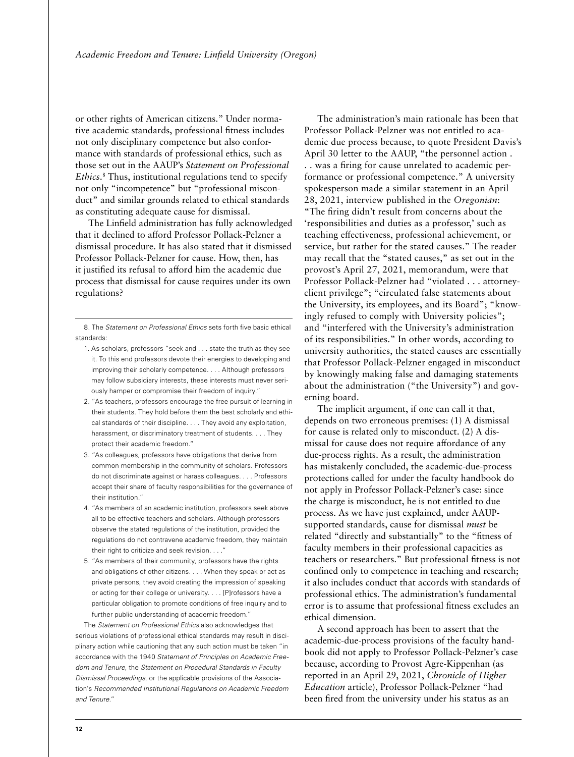or other rights of American citizens." Under normative academic standards, professional fitness includes not only disciplinary competence but also conformance with standards of professional ethics, such as those set out in the AAUP's *Statement on Professional Ethics*. 8 Thus, institutional regulations tend to specify not only "incompetence" but "professional misconduct" and similar grounds related to ethical standards as constituting adequate cause for dismissal.

The Linfield administration has fully acknowledged that it declined to afford Professor Pollack-Pelzner a dismissal procedure. It has also stated that it dismissed Professor Pollack-Pelzner for cause. How, then, has it justified its refusal to afford him the academic due process that dismissal for cause requires under its own regulations?

8. The *Statement on Professional Ethics* sets forth five basic ethical standards:

- 1. As scholars, professors "seek and . . . state the truth as they see it. To this end professors devote their energies to developing and improving their scholarly competence. . . . Although professors may follow subsidiary interests, these interests must never seriously hamper or compromise their freedom of inquiry."
- 2. "As teachers, professors encourage the free pursuit of learning in their students. They hold before them the best scholarly and ethical standards of their discipline. . . . They avoid any exploitation, harassment, or discriminatory treatment of students. . . . They protect their academic freedom."
- 3. "As colleagues, professors have obligations that derive from common membership in the community of scholars. Professors do not discriminate against or harass colleagues. . . . Professors accept their share of faculty responsibilities for the governance of their institution."
- 4. "As members of an academic institution, professors seek above all to be effective teachers and scholars. Although professors observe the stated regulations of the institution, provided the regulations do not contravene academic freedom, they maintain their right to criticize and seek revision. . . . "
- 5. "As members of their community, professors have the rights and obligations of other citizens. . . . When they speak or act as private persons, they avoid creating the impression of speaking or acting for their college or university. . . . [P]rofessors have a particular obligation to promote conditions of free inquiry and to further public understanding of academic freedom."

The *Statement on Professional Ethics* also acknowledges that serious violations of professional ethical standards may result in disciplinary action while cautioning that any such action must be taken "in accordance with the 1940 *Statement of Principles on Academic Freedom and Tenure*, the *Statement on Procedural Standards in Faculty Dismissal Proceedings*, or the applicable provisions of the Association's *Recommended Institutional Regulations on Academic Freedom and Tenure*."

The administration's main rationale has been that Professor Pollack-Pelzner was not entitled to academic due process because, to quote President Davis's April 30 letter to the AAUP, "the personnel action . . . was a firing for cause unrelated to academic performance or professional competence." A university spokesperson made a similar statement in an April 28, 2021, interview published in the *Oregonian*: "The firing didn't result from concerns about the 'responsibilities and duties as a professor,' such as teaching effectiveness, professional achievement, or service, but rather for the stated causes." The reader may recall that the "stated causes," as set out in the provost's April 27, 2021, memorandum, were that Professor Pollack-Pelzner had "violated . . . attorneyclient privilege"; "circulated false statements about the University, its employees, and its Board"; "knowingly refused to comply with University policies"; and "interfered with the University's administration of its responsibilities." In other words, according to university authorities, the stated causes are essentially that Professor Pollack-Pelzner engaged in misconduct by knowingly making false and damaging statements about the administration ("the University") and governing board.

The implicit argument, if one can call it that, depends on two erroneous premises: (1) A dismissal for cause is related only to misconduct. (2) A dismissal for cause does not require affordance of any due-process rights. As a result, the administration has mistakenly concluded, the academic-due-process protections called for under the faculty handbook do not apply in Professor Pollack-Pelzner's case: since the charge is misconduct, he is not entitled to due process. As we have just explained, under AAUPsupported standards, cause for dismissal *must* be related "directly and substantially" to the "fitness of faculty members in their professional capacities as teachers or researchers." But professional fitness is not confined only to competence in teaching and research; it also includes conduct that accords with standards of professional ethics. The administration's fundamental error is to assume that professional fitness excludes an ethical dimension.

A second approach has been to assert that the academic-due-process provisions of the faculty handbook did not apply to Professor Pollack-Pelzner's case because, according to Provost Agre-Kippenhan (as reported in an April 29, 2021, *Chronicle of Higher Education* article), Professor Pollack-Pelzner "had been fired from the university under his status as an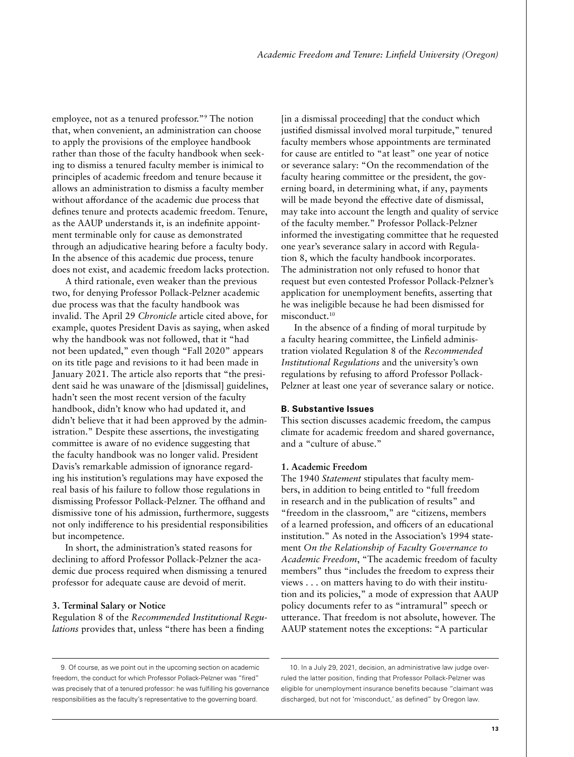employee, not as a tenured professor."9 The notion that, when convenient, an administration can choose to apply the provisions of the employee handbook rather than those of the faculty handbook when seeking to dismiss a tenured faculty member is inimical to principles of academic freedom and tenure because it allows an administration to dismiss a faculty member without affordance of the academic due process that defines tenure and protects academic freedom. Tenure, as the AAUP understands it, is an indefinite appointment terminable only for cause as demonstrated through an adjudicative hearing before a faculty body. In the absence of this academic due process, tenure does not exist, and academic freedom lacks protection.

A third rationale, even weaker than the previous two, for denying Professor Pollack-Pelzner academic due process was that the faculty handbook was invalid. The April 29 *Chronicle* article cited above, for example, quotes President Davis as saying, when asked why the handbook was not followed, that it "had not been updated," even though "Fall 2020" appears on its title page and revisions to it had been made in January 2021. The article also reports that "the president said he was unaware of the [dismissal] guidelines, hadn't seen the most recent version of the faculty handbook, didn't know who had updated it, and didn't believe that it had been approved by the administration." Despite these assertions, the investigating committee is aware of no evidence suggesting that the faculty handbook was no longer valid. President Davis's remarkable admission of ignorance regarding his institution's regulations may have exposed the real basis of his failure to follow those regulations in dismissing Professor Pollack-Pelzner. The offhand and dismissive tone of his admission, furthermore, suggests not only indifference to his presidential responsibilities but incompetence.

In short, the administration's stated reasons for declining to afford Professor Pollack-Pelzner the academic due process required when dismissing a tenured professor for adequate cause are devoid of merit.

# **3. Terminal Salary or Notice**

Regulation 8 of the *Recommended Institutional Regulations* provides that, unless "there has been a finding

[in a dismissal proceeding] that the conduct which justified dismissal involved moral turpitude," tenured faculty members whose appointments are terminated for cause are entitled to "at least" one year of notice or severance salary: "On the recommendation of the faculty hearing committee or the president, the governing board, in determining what, if any, payments will be made beyond the effective date of dismissal, may take into account the length and quality of service of the faculty member." Professor Pollack-Pelzner informed the investigating committee that he requested one year's severance salary in accord with Regulation 8, which the faculty handbook incorporates. The administration not only refused to honor that request but even contested Professor Pollack-Pelzner's application for unemployment benefits, asserting that he was ineligible because he had been dismissed for misconduct.10

In the absence of a finding of moral turpitude by a faculty hearing committee, the Linfield administration violated Regulation 8 of the *Recommended Institutional Regulations* and the university's own regulations by refusing to afford Professor Pollack-Pelzner at least one year of severance salary or notice.

#### **B. Substantive Issues**

This section discusses academic freedom, the campus climate for academic freedom and shared governance, and a "culture of abuse."

#### **1. Academic Freedom**

The 1940 *Statement* stipulates that faculty members, in addition to being entitled to "full freedom in research and in the publication of results" and "freedom in the classroom," are "citizens, members of a learned profession, and officers of an educational institution." As noted in the Association's 1994 statement *On the Relationship of Faculty Governance to Academic Freedom*, "The academic freedom of faculty members" thus "includes the freedom to express their views . . . on matters having to do with their institution and its policies," a mode of expression that AAUP policy documents refer to as "intramural" speech or utterance. That freedom is not absolute, however. The AAUP statement notes the exceptions: "A particular

9. Of course, as we point out in the upcoming section on academic freedom, the conduct for which Professor Pollack-Pelzner was "fired" was precisely that of a tenured professor: he was fulfilling his governance responsibilities as the faculty's representative to the governing board.

10. In a July 29, 2021, decision, an administrative law judge overruled the latter position, finding that Professor Pollack-Pelzner was eligible for unemployment insurance benefits because "claimant was discharged, but not for 'misconduct,' as defined" by Oregon law.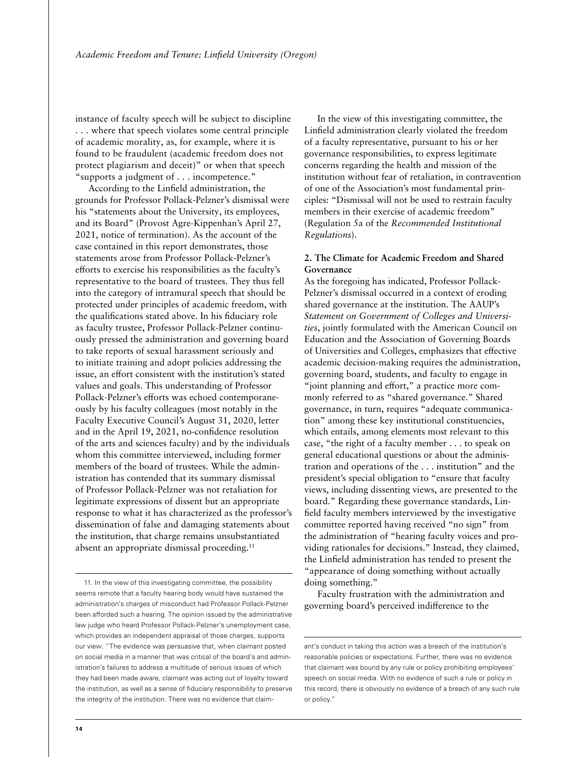instance of faculty speech will be subject to discipline . . . where that speech violates some central principle of academic morality, as, for example, where it is found to be fraudulent (academic freedom does not protect plagiarism and deceit)" or when that speech "supports a judgment of . . . incompetence."

According to the Linfield administration, the grounds for Professor Pollack-Pelzner's dismissal were his "statements about the University, its employees, and its Board" (Provost Agre-Kippenhan's April 27, 2021, notice of termination). As the account of the case contained in this report demonstrates, those statements arose from Professor Pollack-Pelzner's efforts to exercise his responsibilities as the faculty's representative to the board of trustees. They thus fell into the category of intramural speech that should be protected under principles of academic freedom, with the qualifications stated above. In his fiduciary role as faculty trustee, Professor Pollack-Pelzner continuously pressed the administration and governing board to take reports of sexual harassment seriously and to initiate training and adopt policies addressing the issue, an effort consistent with the institution's stated values and goals. This understanding of Professor Pollack-Pelzner's efforts was echoed contemporaneously by his faculty colleagues (most notably in the Faculty Executive Council's August 31, 2020, letter and in the April 19, 2021, no-confidence resolution of the arts and sciences faculty) and by the individuals whom this committee interviewed, including former members of the board of trustees. While the administration has contended that its summary dismissal of Professor Pollack-Pelzner was not retaliation for legitimate expressions of dissent but an appropriate response to what it has characterized as the professor's dissemination of false and damaging statements about the institution, that charge remains unsubstantiated absent an appropriate dismissal proceeding.<sup>11</sup>

In the view of this investigating committee, the Linfield administration clearly violated the freedom of a faculty representative, pursuant to his or her governance responsibilities, to express legitimate concerns regarding the health and mission of the institution without fear of retaliation, in contravention of one of the Association's most fundamental principles: "Dismissal will not be used to restrain faculty members in their exercise of academic freedom" (Regulation 5a of the *Recommended Institutional Regulations*).

# **2. The Climate for Academic Freedom and Shared Governance**

As the foregoing has indicated, Professor Pollack-Pelzner's dismissal occurred in a context of eroding shared governance at the institution. The AAUP's *Statement on Government of Colleges and Universities*, jointly formulated with the American Council on Education and the Association of Governing Boards of Universities and Colleges, emphasizes that effective academic decision-making requires the administration, governing board, students, and faculty to engage in "joint planning and effort," a practice more commonly referred to as "shared governance." Shared governance, in turn, requires "adequate communication" among these key institutional constituencies, which entails, among elements most relevant to this case, "the right of a faculty member . . . to speak on general educational questions or about the administration and operations of the . . . institution" and the president's special obligation to "ensure that faculty views, including dissenting views, are presented to the board." Regarding these governance standards, Linfield faculty members interviewed by the investigative committee reported having received "no sign" from the administration of "hearing faculty voices and providing rationales for decisions." Instead, they claimed, the Linfield administration has tended to present the "appearance of doing something without actually doing something."

Faculty frustration with the administration and governing board's perceived indifference to the

<sup>11.</sup> In the view of this investigating committee, the possibility seems remote that a faculty hearing body would have sustained the administration's charges of misconduct had Professor Pollack-Pelzner been afforded such a hearing. The opinion issued by the administrative law judge who heard Professor Pollack-Pelzner's unemployment case, which provides an independent appraisal of those charges, supports our view: "The evidence was persuasive that, when claimant posted on social media in a manner that was critical of the board's and administration's failures to address a multitude of serious issues of which they had been made aware, claimant was acting out of loyalty toward the institution, as well as a sense of fiduciary responsibility to preserve the integrity of the institution. There was no evidence that claim-

ant's conduct in taking this action was a breach of the institution's reasonable policies or expectations. Further, there was no evidence that claimant was bound by any rule or policy prohibiting employees' speech on social media. With no evidence of such a rule or policy in this record, there is obviously no evidence of a breach of any such rule or policy."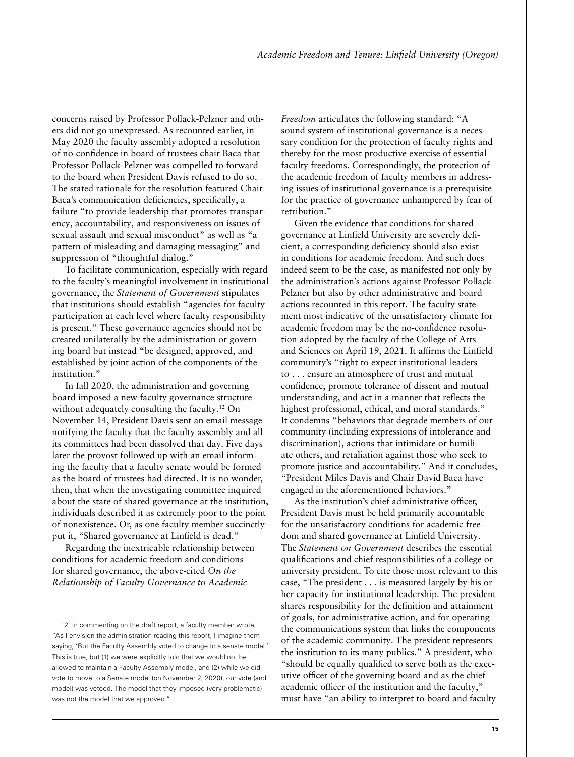concerns raised by Professor Pollack-Pelzner and others did not go unexpressed. As recounted earlier, in May 2020 the faculty assembly adopted a resolution of no-confidence in board of trustees chair Baca that Professor Pollack-Pelzner was compelled to forward to the board when President Davis refused to do so. The stated rationale for the resolution featured Chair Baca's communication deficiencies, specifically, a failure "to provide leadership that promotes transparency, accountability, and responsiveness on issues of sexual assault and sexual misconduct" as well as "a pattern of misleading and damaging messaging" and suppression of "thoughtful dialog."

To facilitate communication, especially with regard to the faculty's meaningful involvement in institutional governance, the *Statement of Government* stipulates that institutions should establish "agencies for faculty participation at each level where faculty responsibility is present." These governance agencies should not be created unilaterally by the administration or governing board but instead "be designed, approved, and established by joint action of the components of the institution."

In fall 2020, the administration and governing board imposed a new faculty governance structure without adequately consulting the faculty.<sup>12</sup> On November 14, President Davis sent an email message notifying the faculty that the faculty assembly and all its committees had been dissolved that day. Five days later the provost followed up with an email informing the faculty that a faculty senate would be formed as the board of trustees had directed. It is no wonder, then, that when the investigating committee inquired about the state of shared governance at the institution, individuals described it as extremely poor to the point of nonexistence. Or, as one faculty member succinctly put it, "Shared governance at Linfield is dead."

Regarding the inextricable relationship between conditions for academic freedom and conditions for shared governance, the above-cited *On the Relationship of Faculty Governance to Academic* 

*Freedom* articulates the following standard: "A sound system of institutional governance is a necessary condition for the protection of faculty rights and thereby for the most productive exercise of essential faculty freedoms. Correspondingly, the protection of the academic freedom of faculty members in addressing issues of institutional governance is a prerequisite for the practice of governance unhampered by fear of retribution."

Given the evidence that conditions for shared governance at Linfield University are severely deficient, a corresponding deficiency should also exist in conditions for academic freedom. And such does indeed seem to be the case, as manifested not only by the administration's actions against Professor Pollack-Pelzner but also by other administrative and board actions recounted in this report. The faculty statement most indicative of the unsatisfactory climate for academic freedom may be the no-confidence resolution adopted by the faculty of the College of Arts and Sciences on April 19, 2021. It affirms the Linfield community's "right to expect institutional leaders to . . . ensure an atmosphere of trust and mutual confidence, promote tolerance of dissent and mutual understanding, and act in a manner that reflects the highest professional, ethical, and moral standards." It condemns "behaviors that degrade members of our community (including expressions of intolerance and discrimination), actions that intimidate or humiliate others, and retaliation against those who seek to promote justice and accountability." And it concludes, "President Miles Davis and Chair David Baca have engaged in the aforementioned behaviors."

As the institution's chief administrative officer, President Davis must be held primarily accountable for the unsatisfactory conditions for academic freedom and shared governance at Linfield University. The *Statement on Government* describes the essential qualifications and chief responsibilities of a college or university president. To cite those most relevant to this case, "The president . . . is measured largely by his or her capacity for institutional leadership. The president shares responsibility for the definition and attainment of goals, for administrative action, and for operating the communications system that links the components of the academic community. The president represents the institution to its many publics." A president, who "should be equally qualified to serve both as the executive officer of the governing board and as the chief academic officer of the institution and the faculty," must have "an ability to interpret to board and faculty

<sup>12.</sup> In commenting on the draft report, a faculty member wrote, "As I envision the administration reading this report, I imagine them saying, 'But the Faculty Assembly voted to change to a senate model.' This is true, but (1) we were explicitly told that we would not be allowed to maintain a Faculty Assembly model, and (2) while we did vote to move to a Senate model (on November 2, 2020), our vote (and model) was vetoed. The model that they imposed (very problematic) was not the model that we approved."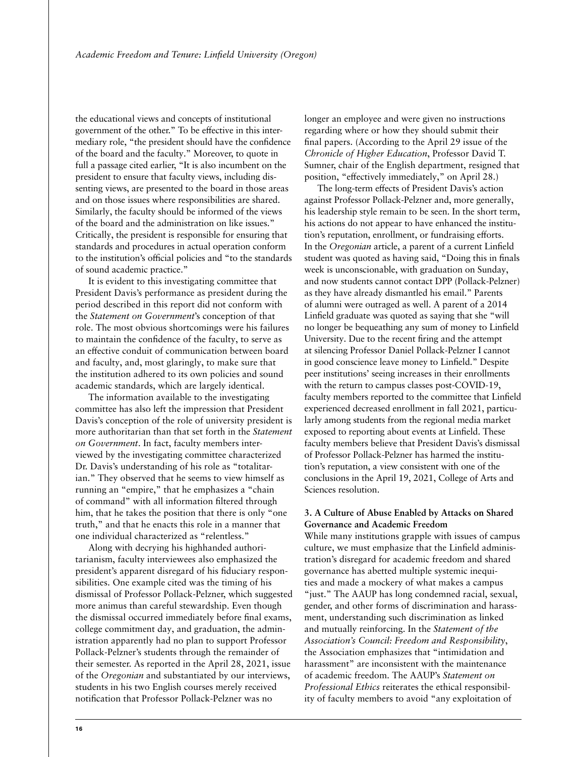the educational views and concepts of institutional government of the other." To be effective in this intermediary role, "the president should have the confidence of the board and the faculty." Moreover, to quote in full a passage cited earlier, "It is also incumbent on the president to ensure that faculty views, including dissenting views, are presented to the board in those areas and on those issues where responsibilities are shared. Similarly, the faculty should be informed of the views of the board and the administration on like issues." Critically, the president is responsible for ensuring that standards and procedures in actual operation conform to the institution's official policies and "to the standards of sound academic practice."

It is evident to this investigating committee that President Davis's performance as president during the period described in this report did not conform with the *Statement on Government*'s conception of that role. The most obvious shortcomings were his failures to maintain the confidence of the faculty, to serve as an effective conduit of communication between board and faculty, and, most glaringly, to make sure that the institution adhered to its own policies and sound academic standards, which are largely identical.

The information available to the investigating committee has also left the impression that President Davis's conception of the role of university president is more authoritarian than that set forth in the *Statement on Government*. In fact, faculty members interviewed by the investigating committee characterized Dr. Davis's understanding of his role as "totalitarian." They observed that he seems to view himself as running an "empire," that he emphasizes a "chain of command" with all information filtered through him, that he takes the position that there is only "one truth," and that he enacts this role in a manner that one individual characterized as "relentless."

Along with decrying his highhanded authoritarianism, faculty interviewees also emphasized the president's apparent disregard of his fiduciary responsibilities. One example cited was the timing of his dismissal of Professor Pollack-Pelzner, which suggested more animus than careful stewardship. Even though the dismissal occurred immediately before final exams, college commitment day, and graduation, the administration apparently had no plan to support Professor Pollack-Pelzner's students through the remainder of their semester. As reported in the April 28, 2021, issue of the *Oregonian* and substantiated by our interviews, students in his two English courses merely received notification that Professor Pollack-Pelzner was no

longer an employee and were given no instructions regarding where or how they should submit their final papers. (According to the April 29 issue of the *Chronicle of Higher Education*, Professor David T. Sumner, chair of the English department, resigned that position, "effectively immediately," on April 28.)

The long-term effects of President Davis's action against Professor Pollack-Pelzner and, more generally, his leadership style remain to be seen. In the short term, his actions do not appear to have enhanced the institution's reputation, enrollment, or fundraising efforts. In the *Oregonian* article, a parent of a current Linfield student was quoted as having said, "Doing this in finals week is unconscionable, with graduation on Sunday, and now students cannot contact DPP (Pollack-Pelzner) as they have already dismantled his email." Parents of alumni were outraged as well. A parent of a 2014 Linfield graduate was quoted as saying that she "will no longer be bequeathing any sum of money to Linfield University. Due to the recent firing and the attempt at silencing Professor Daniel Pollack-Pelzner I cannot in good conscience leave money to Linfield." Despite peer institutions' seeing increases in their enrollments with the return to campus classes post-COVID-19, faculty members reported to the committee that Linfield experienced decreased enrollment in fall 2021, particularly among students from the regional media market exposed to reporting about events at Linfield. These faculty members believe that President Davis's dismissal of Professor Pollack-Pelzner has harmed the institution's reputation, a view consistent with one of the conclusions in the April 19, 2021, College of Arts and Sciences resolution.

# **3. A Culture of Abuse Enabled by Attacks on Shared Governance and Academic Freedom**

While many institutions grapple with issues of campus culture, we must emphasize that the Linfield administration's disregard for academic freedom and shared governance has abetted multiple systemic inequities and made a mockery of what makes a campus "just." The AAUP has long condemned racial, sexual, gender, and other forms of discrimination and harassment, understanding such discrimination as linked and mutually reinforcing. In the *Statement of the Association's Council: Freedom and Responsibility*, the Association emphasizes that "intimidation and harassment" are inconsistent with the maintenance of academic freedom. The AAUP's *Statement on Professional Ethics* reiterates the ethical responsibility of faculty members to avoid "any exploitation of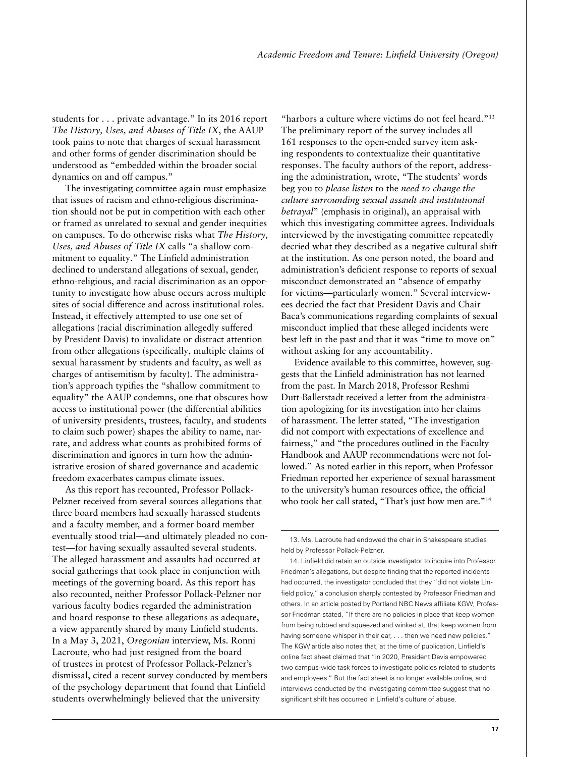students for . . . private advantage." In its 2016 report *The History, Uses, and Abuses of Title IX*, the AAUP took pains to note that charges of sexual harassment and other forms of gender discrimination should be understood as "embedded within the broader social dynamics on and off campus."

The investigating committee again must emphasize that issues of racism and ethno-religious discrimination should not be put in competition with each other or framed as unrelated to sexual and gender inequities on campuses. To do otherwise risks what *The History, Uses, and Abuses of Title IX* calls "a shallow commitment to equality." The Linfield administration declined to understand allegations of sexual, gender, ethno-religious, and racial discrimination as an opportunity to investigate how abuse occurs across multiple sites of social difference and across institutional roles. Instead, it effectively attempted to use one set of allegations (racial discrimination allegedly suffered by President Davis) to invalidate or distract attention from other allegations (specifically, multiple claims of sexual harassment by students and faculty, as well as charges of antisemitism by faculty). The administration's approach typifies the "shallow commitment to equality" the AAUP condemns, one that obscures how access to institutional power (the differential abilities of university presidents, trustees, faculty, and students to claim such power) shapes the ability to name, narrate, and address what counts as prohibited forms of discrimination and ignores in turn how the administrative erosion of shared governance and academic freedom exacerbates campus climate issues.

As this report has recounted, Professor Pollack-Pelzner received from several sources allegations that three board members had sexually harassed students and a faculty member, and a former board member eventually stood trial—and ultimately pleaded no contest—for having sexually assaulted several students. The alleged harassment and assaults had occurred at social gatherings that took place in conjunction with meetings of the governing board. As this report has also recounted, neither Professor Pollack-Pelzner nor various faculty bodies regarded the administration and board response to these allegations as adequate, a view apparently shared by many Linfield students. In a May 3, 2021, *Oregonian* interview, Ms. Ronni Lacroute, who had just resigned from the board of trustees in protest of Professor Pollack-Pelzner's dismissal, cited a recent survey conducted by members of the psychology department that found that Linfield students overwhelmingly believed that the university

"harbors a culture where victims do not feel heard."13 The preliminary report of the survey includes all 161 responses to the open-ended survey item asking respondents to contextualize their quantitative responses. The faculty authors of the report, addressing the administration, wrote, "The students' words beg you to *please listen* to the *need to change the culture surrounding sexual assault and institutional betrayal*" (emphasis in original), an appraisal with which this investigating committee agrees. Individuals interviewed by the investigating committee repeatedly decried what they described as a negative cultural shift at the institution. As one person noted, the board and administration's deficient response to reports of sexual misconduct demonstrated an "absence of empathy for victims—particularly women." Several interviewees decried the fact that President Davis and Chair Baca's communications regarding complaints of sexual misconduct implied that these alleged incidents were best left in the past and that it was "time to move on" without asking for any accountability.

Evidence available to this committee, however, suggests that the Linfield administration has not learned from the past. In March 2018, Professor Reshmi Dutt-Ballerstadt received a letter from the administration apologizing for its investigation into her claims of harassment. The letter stated, "The investigation did not comport with expectations of excellence and fairness," and "the procedures outlined in the Faculty Handbook and AAUP recommendations were not followed." As noted earlier in this report, when Professor Friedman reported her experience of sexual harassment to the university's human resources office, the official who took her call stated, "That's just how men are."<sup>14</sup>

<sup>13.</sup> Ms. Lacroute had endowed the chair in Shakespeare studies held by Professor Pollack-Pelzner.

<sup>14.</sup> Linfield did retain an outside investigator to inquire into Professor Friedman's allegations, but despite finding that the reported incidents had occurred, the investigator concluded that they "did not violate Linfield policy," a conclusion sharply contested by Professor Friedman and others. In an article posted by Portland NBC News affiliate KGW, Professor Friedman stated, "If there are no policies in place that keep women from being rubbed and squeezed and winked at, that keep women from having someone whisper in their ear, . . . then we need new policies." The KGW article also notes that, at the time of publication, Linfield's online fact sheet claimed that "in 2020, President Davis empowered two campus-wide task forces to investigate policies related to students and employees." But the fact sheet is no longer available online, and interviews conducted by the investigating committee suggest that no significant shift has occurred in Linfield's culture of abuse.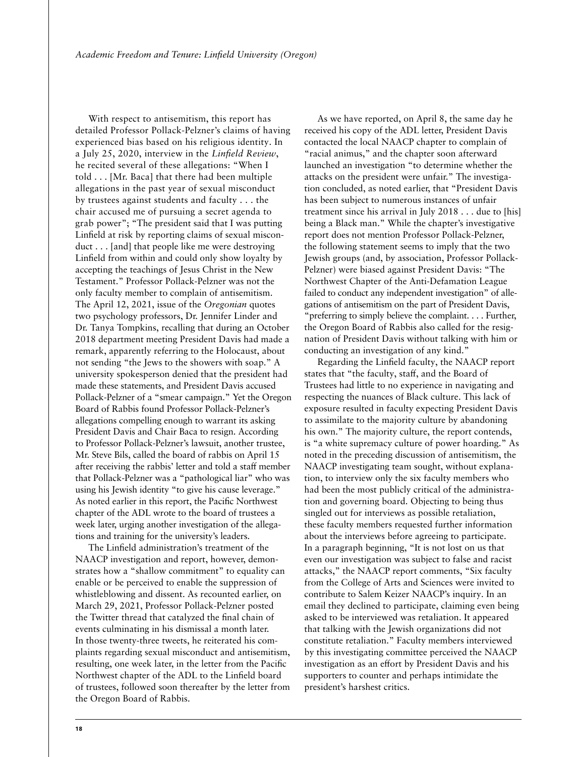With respect to antisemitism, this report has detailed Professor Pollack-Pelzner's claims of having experienced bias based on his religious identity. In a July 25, 2020, interview in the *Linfield Review*, he recited several of these allegations: "When I told . . . [Mr. Baca] that there had been multiple allegations in the past year of sexual misconduct by trustees against students and faculty . . . the chair accused me of pursuing a secret agenda to grab power"; "The president said that I was putting Linfield at risk by reporting claims of sexual misconduct . . . [and] that people like me were destroying Linfield from within and could only show loyalty by accepting the teachings of Jesus Christ in the New Testament." Professor Pollack-Pelzner was not the only faculty member to complain of antisemitism. The April 12, 2021, issue of the *Oregonian* quotes two psychology professors, Dr. Jennifer Linder and Dr. Tanya Tompkins, recalling that during an October 2018 department meeting President Davis had made a remark, apparently referring to the Holocaust, about not sending "the Jews to the showers with soap." A university spokesperson denied that the president had made these statements, and President Davis accused Pollack-Pelzner of a "smear campaign." Yet the Oregon Board of Rabbis found Professor Pollack-Pelzner's allegations compelling enough to warrant its asking President Davis and Chair Baca to resign. According to Professor Pollack-Pelzner's lawsuit, another trustee, Mr. Steve Bils, called the board of rabbis on April 15 after receiving the rabbis' letter and told a staff member that Pollack-Pelzner was a "pathological liar" who was using his Jewish identity "to give his cause leverage." As noted earlier in this report, the Pacific Northwest chapter of the ADL wrote to the board of trustees a week later, urging another investigation of the allegations and training for the university's leaders.

The Linfield administration's treatment of the NAACP investigation and report, however, demonstrates how a "shallow commitment" to equality can enable or be perceived to enable the suppression of whistleblowing and dissent. As recounted earlier, on March 29, 2021, Professor Pollack-Pelzner posted the Twitter thread that catalyzed the final chain of events culminating in his dismissal a month later. In those twenty-three tweets, he reiterated his complaints regarding sexual misconduct and antisemitism, resulting, one week later, in the letter from the Pacific Northwest chapter of the ADL to the Linfield board of trustees, followed soon thereafter by the letter from the Oregon Board of Rabbis.

As we have reported, on April 8, the same day he received his copy of the ADL letter, President Davis contacted the local NAACP chapter to complain of "racial animus," and the chapter soon afterward launched an investigation "to determine whether the attacks on the president were unfair." The investigation concluded, as noted earlier, that "President Davis has been subject to numerous instances of unfair treatment since his arrival in July 2018 . . . due to [his] being a Black man." While the chapter's investigative report does not mention Professor Pollack-Pelzner, the following statement seems to imply that the two Jewish groups (and, by association, Professor Pollack-Pelzner) were biased against President Davis: "The Northwest Chapter of the Anti-Defamation League failed to conduct any independent investigation" of allegations of antisemitism on the part of President Davis, "preferring to simply believe the complaint. . . . Further, the Oregon Board of Rabbis also called for the resignation of President Davis without talking with him or conducting an investigation of any kind."

Regarding the Linfield faculty, the NAACP report states that "the faculty, staff, and the Board of Trustees had little to no experience in navigating and respecting the nuances of Black culture. This lack of exposure resulted in faculty expecting President Davis to assimilate to the majority culture by abandoning his own." The majority culture, the report contends, is "a white supremacy culture of power hoarding." As noted in the preceding discussion of antisemitism, the NAACP investigating team sought, without explanation, to interview only the six faculty members who had been the most publicly critical of the administration and governing board. Objecting to being thus singled out for interviews as possible retaliation, these faculty members requested further information about the interviews before agreeing to participate. In a paragraph beginning, "It is not lost on us that even our investigation was subject to false and racist attacks," the NAACP report comments, "Six faculty from the College of Arts and Sciences were invited to contribute to Salem Keizer NAACP's inquiry. In an email they declined to participate, claiming even being asked to be interviewed was retaliation. It appeared that talking with the Jewish organizations did not constitute retaliation." Faculty members interviewed by this investigating committee perceived the NAACP investigation as an effort by President Davis and his supporters to counter and perhaps intimidate the president's harshest critics.